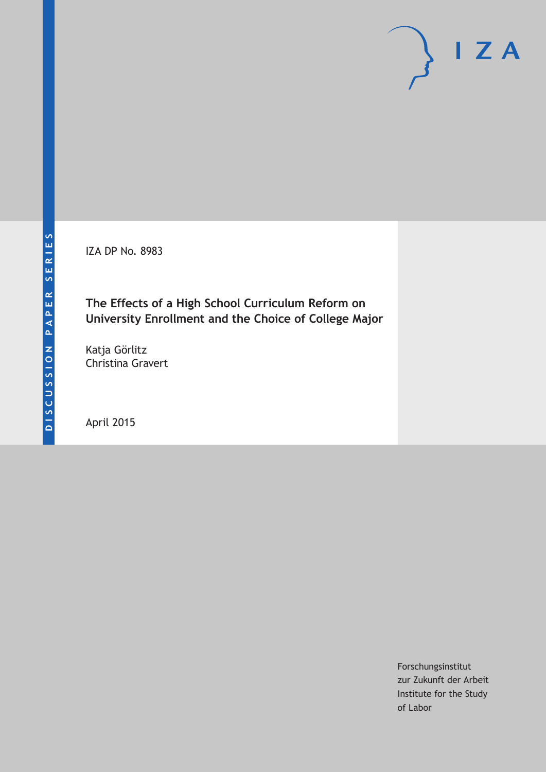IZA DP No. 8983

# **The Effects of a High School Curriculum Reform on University Enrollment and the Choice of College Major**

Katja Görlitz Christina Gravert

April 2015

Forschungsinstitut zur Zukunft der Arbeit Institute for the Study of Labor

 $I Z A$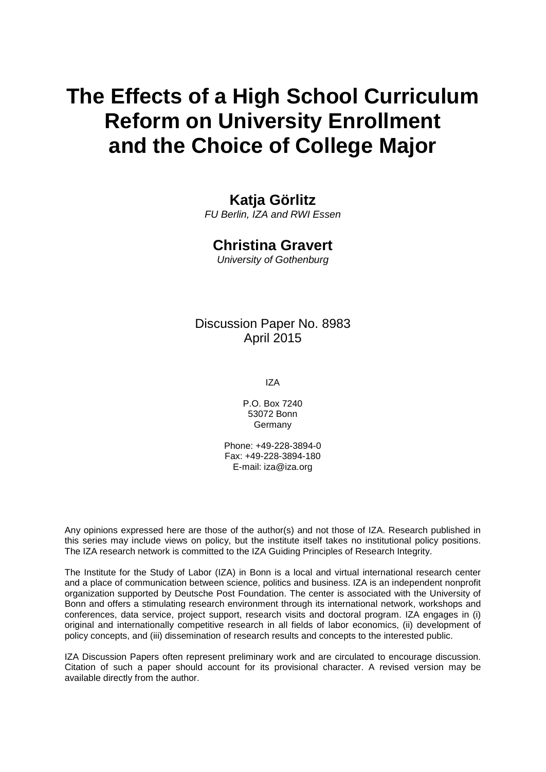# **The Effects of a High School Curriculum Reform on University Enrollment and the Choice of College Major**

## **Katja Görlitz**

*FU Berlin, IZA and RWI Essen*

## **Christina Gravert**

*University of Gothenburg*

Discussion Paper No. 8983 April 2015

IZA

P.O. Box 7240 53072 Bonn Germany

Phone: +49-228-3894-0 Fax: +49-228-3894-180 E-mail: iza@iza.org

Any opinions expressed here are those of the author(s) and not those of IZA. Research published in this series may include views on policy, but the institute itself takes no institutional policy positions. The IZA research network is committed to the IZA Guiding Principles of Research Integrity.

The Institute for the Study of Labor (IZA) in Bonn is a local and virtual international research center and a place of communication between science, politics and business. IZA is an independent nonprofit organization supported by Deutsche Post Foundation. The center is associated with the University of Bonn and offers a stimulating research environment through its international network, workshops and conferences, data service, project support, research visits and doctoral program. IZA engages in (i) original and internationally competitive research in all fields of labor economics, (ii) development of policy concepts, and (iii) dissemination of research results and concepts to the interested public.

<span id="page-1-0"></span>IZA Discussion Papers often represent preliminary work and are circulated to encourage discussion. Citation of such a paper should account for its provisional character. A revised version may be available directly from the author.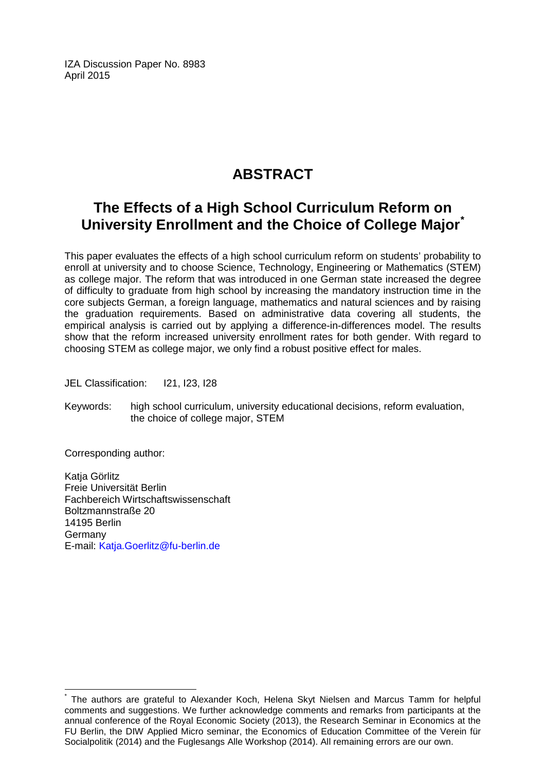IZA Discussion Paper No. 8983 April 2015

# **ABSTRACT**

# **The Effects of a High School Curriculum Reform on University Enrollment and the Choice of College Major[\\*](#page-1-0)**

This paper evaluates the effects of a high school curriculum reform on students' probability to enroll at university and to choose Science, Technology, Engineering or Mathematics (STEM) as college major. The reform that was introduced in one German state increased the degree of difficulty to graduate from high school by increasing the mandatory instruction time in the core subjects German, a foreign language, mathematics and natural sciences and by raising the graduation requirements. Based on administrative data covering all students, the empirical analysis is carried out by applying a difference-in-differences model. The results show that the reform increased university enrollment rates for both gender. With regard to choosing STEM as college major, we only find a robust positive effect for males.

JEL Classification: I21, I23, I28

Keywords: high school curriculum, university educational decisions, reform evaluation, the choice of college major, STEM

Corresponding author:

Katja Görlitz Freie Universität Berlin Fachbereich Wirtschaftswissenschaft Boltzmannstraße 20 14195 Berlin Germany E-mail: [Katja.Goerlitz@fu-berlin.de](mailto:Katja.Goerlitz@fu-berlin.de)

The authors are grateful to Alexander Koch, Helena Skyt Nielsen and Marcus Tamm for helpful comments and suggestions. We further acknowledge comments and remarks from participants at the annual conference of the Royal Economic Society (2013), the Research Seminar in Economics at the FU Berlin, the DIW Applied Micro seminar, the Economics of Education Committee of the Verein für Socialpolitik (2014) and the Fuglesangs Alle Workshop (2014). All remaining errors are our own.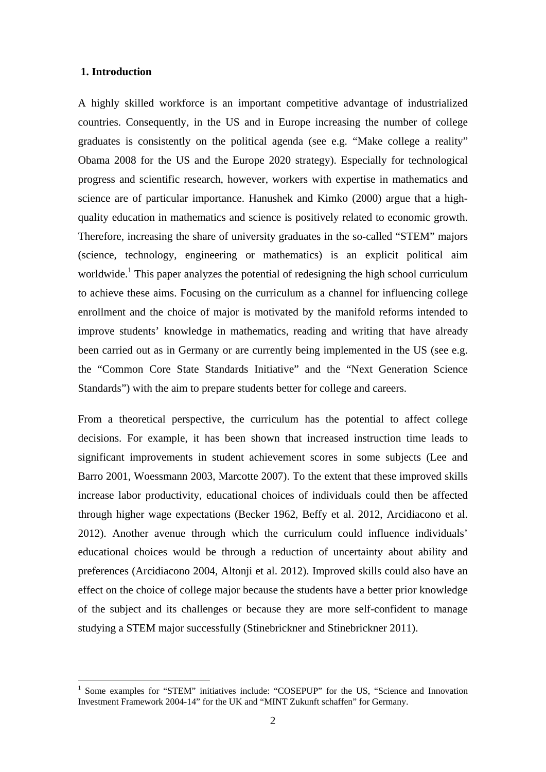#### **1. Introduction**

-

A highly skilled workforce is an important competitive advantage of industrialized countries. Consequently, in the US and in Europe increasing the number of college graduates is consistently on the political agenda (see e.g. "Make college a reality" Obama 2008 for the US and the Europe 2020 strategy). Especially for technological progress and scientific research, however, workers with expertise in mathematics and science are of particular importance. Hanushek and Kimko (2000) argue that a highquality education in mathematics and science is positively related to economic growth. Therefore, increasing the share of university graduates in the so-called "STEM" majors (science, technology, engineering or mathematics) is an explicit political aim worldwide.<sup>1</sup> This paper analyzes the potential of redesigning the high school curriculum to achieve these aims. Focusing on the curriculum as a channel for influencing college enrollment and the choice of major is motivated by the manifold reforms intended to improve students' knowledge in mathematics, reading and writing that have already been carried out as in Germany or are currently being implemented in the US (see e.g. the "Common Core State Standards Initiative" and the "Next Generation Science Standards") with the aim to prepare students better for college and careers.

From a theoretical perspective, the curriculum has the potential to affect college decisions. For example, it has been shown that increased instruction time leads to significant improvements in student achievement scores in some subjects (Lee and Barro 2001, Woessmann 2003, Marcotte 2007). To the extent that these improved skills increase labor productivity, educational choices of individuals could then be affected through higher wage expectations (Becker 1962, Beffy et al. 2012, Arcidiacono et al. 2012). Another avenue through which the curriculum could influence individuals' educational choices would be through a reduction of uncertainty about ability and preferences (Arcidiacono 2004, Altonji et al. 2012). Improved skills could also have an effect on the choice of college major because the students have a better prior knowledge of the subject and its challenges or because they are more self-confident to manage studying a STEM major successfully (Stinebrickner and Stinebrickner 2011).

<sup>&</sup>lt;sup>1</sup> Some examples for "STEM" initiatives include: "COSEPUP" for the US, "Science and Innovation Investment Framework 2004-14" for the UK and "MINT Zukunft schaffen" for Germany.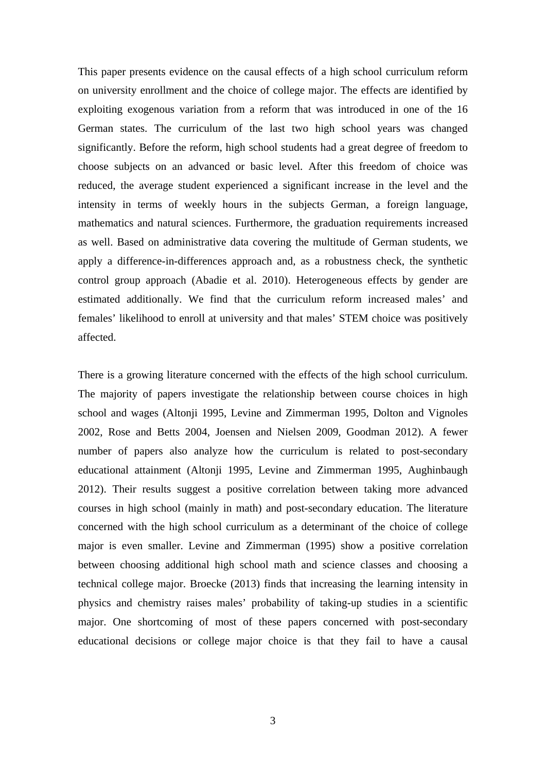This paper presents evidence on the causal effects of a high school curriculum reform on university enrollment and the choice of college major. The effects are identified by exploiting exogenous variation from a reform that was introduced in one of the 16 German states. The curriculum of the last two high school years was changed significantly. Before the reform, high school students had a great degree of freedom to choose subjects on an advanced or basic level. After this freedom of choice was reduced, the average student experienced a significant increase in the level and the intensity in terms of weekly hours in the subjects German, a foreign language, mathematics and natural sciences. Furthermore, the graduation requirements increased as well. Based on administrative data covering the multitude of German students, we apply a difference-in-differences approach and, as a robustness check, the synthetic control group approach (Abadie et al. 2010). Heterogeneous effects by gender are estimated additionally. We find that the curriculum reform increased males' and females' likelihood to enroll at university and that males' STEM choice was positively affected.

There is a growing literature concerned with the effects of the high school curriculum. The majority of papers investigate the relationship between course choices in high school and wages (Altonji 1995, Levine and Zimmerman 1995, Dolton and Vignoles 2002, Rose and Betts 2004, Joensen and Nielsen 2009, Goodman 2012). A fewer number of papers also analyze how the curriculum is related to post-secondary educational attainment (Altonji 1995, Levine and Zimmerman 1995, Aughinbaugh 2012). Their results suggest a positive correlation between taking more advanced courses in high school (mainly in math) and post-secondary education. The literature concerned with the high school curriculum as a determinant of the choice of college major is even smaller. Levine and Zimmerman (1995) show a positive correlation between choosing additional high school math and science classes and choosing a technical college major. Broecke (2013) finds that increasing the learning intensity in physics and chemistry raises males' probability of taking-up studies in a scientific major. One shortcoming of most of these papers concerned with post-secondary educational decisions or college major choice is that they fail to have a causal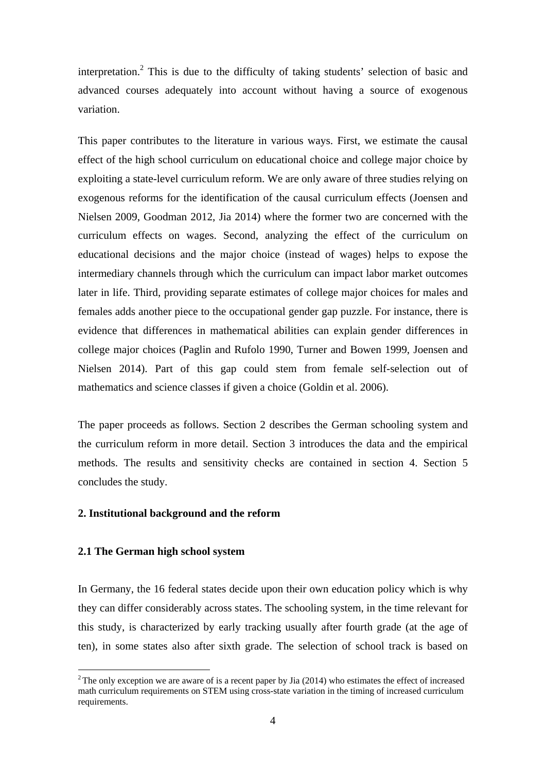interpretation.<sup>2</sup> This is due to the difficulty of taking students' selection of basic and advanced courses adequately into account without having a source of exogenous variation.

This paper contributes to the literature in various ways. First, we estimate the causal effect of the high school curriculum on educational choice and college major choice by exploiting a state-level curriculum reform. We are only aware of three studies relying on exogenous reforms for the identification of the causal curriculum effects (Joensen and Nielsen 2009, Goodman 2012, Jia 2014) where the former two are concerned with the curriculum effects on wages. Second, analyzing the effect of the curriculum on educational decisions and the major choice (instead of wages) helps to expose the intermediary channels through which the curriculum can impact labor market outcomes later in life. Third, providing separate estimates of college major choices for males and females adds another piece to the occupational gender gap puzzle. For instance, there is evidence that differences in mathematical abilities can explain gender differences in college major choices (Paglin and Rufolo 1990, Turner and Bowen 1999, Joensen and Nielsen 2014). Part of this gap could stem from female self-selection out of mathematics and science classes if given a choice (Goldin et al. 2006).

The paper proceeds as follows. Section 2 describes the German schooling system and the curriculum reform in more detail. Section 3 introduces the data and the empirical methods. The results and sensitivity checks are contained in section 4. Section 5 concludes the study.

#### **2. Institutional background and the reform**

#### **2.1 The German high school system**

<u>.</u>

In Germany, the 16 federal states decide upon their own education policy which is why they can differ considerably across states. The schooling system, in the time relevant for this study, is characterized by early tracking usually after fourth grade (at the age of ten), in some states also after sixth grade. The selection of school track is based on

 $2$ The only exception we are aware of is a recent paper by Jia (2014) who estimates the effect of increased math curriculum requirements on STEM using cross-state variation in the timing of increased curriculum requirements.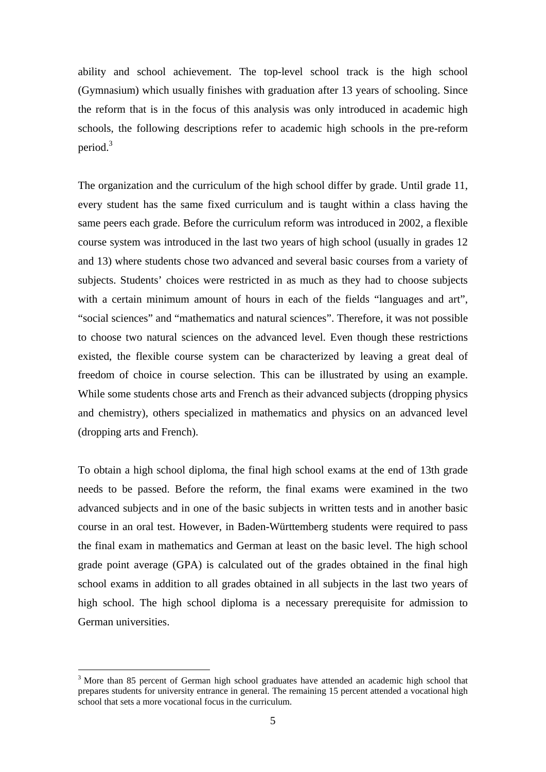ability and school achievement. The top-level school track is the high school (Gymnasium) which usually finishes with graduation after 13 years of schooling. Since the reform that is in the focus of this analysis was only introduced in academic high schools, the following descriptions refer to academic high schools in the pre-reform period.<sup>3</sup>

The organization and the curriculum of the high school differ by grade. Until grade 11, every student has the same fixed curriculum and is taught within a class having the same peers each grade. Before the curriculum reform was introduced in 2002, a flexible course system was introduced in the last two years of high school (usually in grades 12 and 13) where students chose two advanced and several basic courses from a variety of subjects. Students' choices were restricted in as much as they had to choose subjects with a certain minimum amount of hours in each of the fields "languages and art", "social sciences" and "mathematics and natural sciences". Therefore, it was not possible to choose two natural sciences on the advanced level. Even though these restrictions existed, the flexible course system can be characterized by leaving a great deal of freedom of choice in course selection. This can be illustrated by using an example. While some students chose arts and French as their advanced subjects (dropping physics and chemistry), others specialized in mathematics and physics on an advanced level (dropping arts and French).

To obtain a high school diploma, the final high school exams at the end of 13th grade needs to be passed. Before the reform, the final exams were examined in the two advanced subjects and in one of the basic subjects in written tests and in another basic course in an oral test. However, in Baden-Württemberg students were required to pass the final exam in mathematics and German at least on the basic level. The high school grade point average (GPA) is calculated out of the grades obtained in the final high school exams in addition to all grades obtained in all subjects in the last two years of high school. The high school diploma is a necessary prerequisite for admission to German universities.

<u>.</u>

<sup>&</sup>lt;sup>3</sup> More than 85 percent of German high school graduates have attended an academic high school that prepares students for university entrance in general. The remaining 15 percent attended a vocational high school that sets a more vocational focus in the curriculum.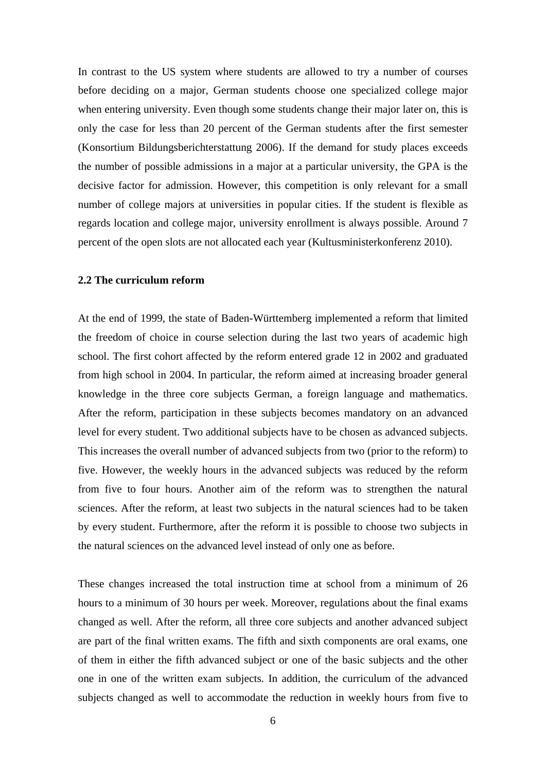In contrast to the US system where students are allowed to try a number of courses before deciding on a major, German students choose one specialized college major when entering university. Even though some students change their major later on, this is only the case for less than 20 percent of the German students after the first semester (Konsortium Bildungsberichterstattung 2006). If the demand for study places exceeds the number of possible admissions in a major at a particular university, the GPA is the decisive factor for admission. However, this competition is only relevant for a small number of college majors at universities in popular cities. If the student is flexible as regards location and college major, university enrollment is always possible. Around 7 percent of the open slots are not allocated each year (Kultusministerkonferenz 2010).

#### **2.2 The curriculum reform**

At the end of 1999, the state of Baden-Württemberg implemented a reform that limited the freedom of choice in course selection during the last two years of academic high school. The first cohort affected by the reform entered grade 12 in 2002 and graduated from high school in 2004. In particular, the reform aimed at increasing broader general knowledge in the three core subjects German, a foreign language and mathematics. After the reform, participation in these subjects becomes mandatory on an advanced level for every student. Two additional subjects have to be chosen as advanced subjects. This increases the overall number of advanced subjects from two (prior to the reform) to five. However, the weekly hours in the advanced subjects was reduced by the reform from five to four hours. Another aim of the reform was to strengthen the natural sciences. After the reform, at least two subjects in the natural sciences had to be taken by every student. Furthermore, after the reform it is possible to choose two subjects in the natural sciences on the advanced level instead of only one as before.

These changes increased the total instruction time at school from a minimum of 26 hours to a minimum of 30 hours per week. Moreover, regulations about the final exams changed as well. After the reform, all three core subjects and another advanced subject are part of the final written exams. The fifth and sixth components are oral exams, one of them in either the fifth advanced subject or one of the basic subjects and the other one in one of the written exam subjects. In addition, the curriculum of the advanced subjects changed as well to accommodate the reduction in weekly hours from five to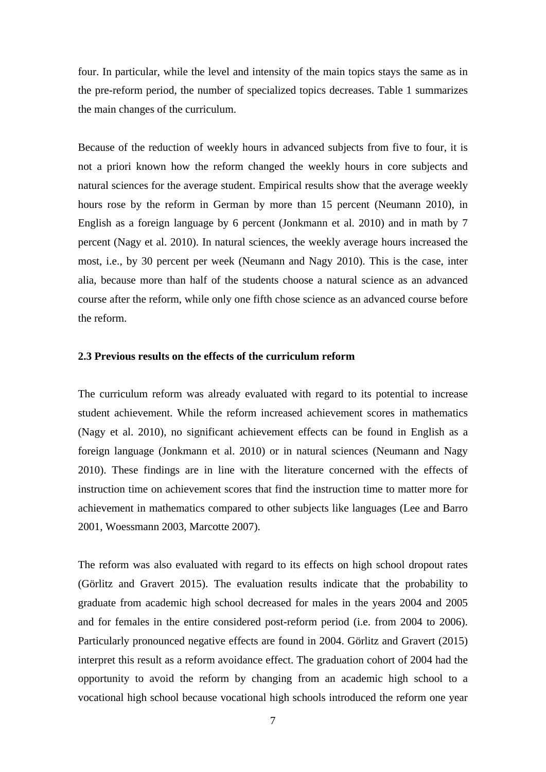four. In particular, while the level and intensity of the main topics stays the same as in the pre-reform period, the number of specialized topics decreases. Table 1 summarizes the main changes of the curriculum.

Because of the reduction of weekly hours in advanced subjects from five to four, it is not a priori known how the reform changed the weekly hours in core subjects and natural sciences for the average student. Empirical results show that the average weekly hours rose by the reform in German by more than 15 percent (Neumann 2010), in English as a foreign language by 6 percent (Jonkmann et al. 2010) and in math by 7 percent (Nagy et al. 2010). In natural sciences, the weekly average hours increased the most, i.e., by 30 percent per week (Neumann and Nagy 2010). This is the case, inter alia, because more than half of the students choose a natural science as an advanced course after the reform, while only one fifth chose science as an advanced course before the reform.

#### **2.3 Previous results on the effects of the curriculum reform**

The curriculum reform was already evaluated with regard to its potential to increase student achievement. While the reform increased achievement scores in mathematics (Nagy et al. 2010), no significant achievement effects can be found in English as a foreign language (Jonkmann et al. 2010) or in natural sciences (Neumann and Nagy 2010). These findings are in line with the literature concerned with the effects of instruction time on achievement scores that find the instruction time to matter more for achievement in mathematics compared to other subjects like languages (Lee and Barro 2001, Woessmann 2003, Marcotte 2007).

The reform was also evaluated with regard to its effects on high school dropout rates (Görlitz and Gravert 2015). The evaluation results indicate that the probability to graduate from academic high school decreased for males in the years 2004 and 2005 and for females in the entire considered post-reform period (i.e. from 2004 to 2006). Particularly pronounced negative effects are found in 2004. Görlitz and Gravert (2015) interpret this result as a reform avoidance effect. The graduation cohort of 2004 had the opportunity to avoid the reform by changing from an academic high school to a vocational high school because vocational high schools introduced the reform one year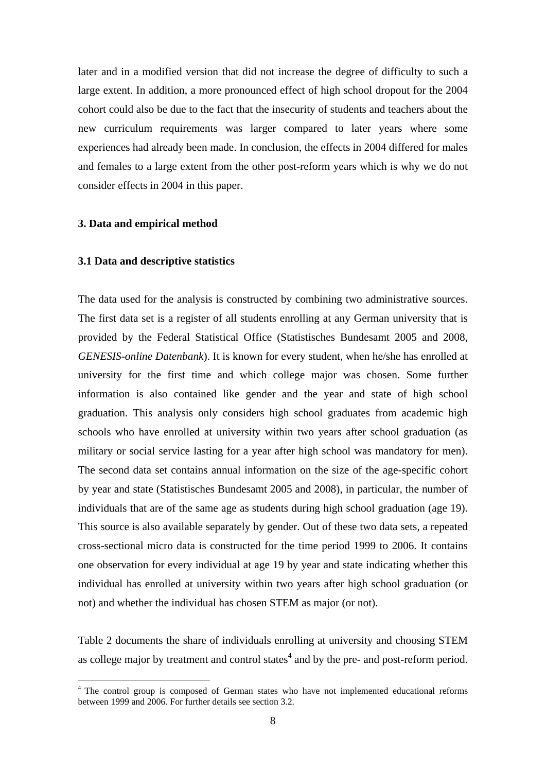later and in a modified version that did not increase the degree of difficulty to such a large extent. In addition, a more pronounced effect of high school dropout for the 2004 cohort could also be due to the fact that the insecurity of students and teachers about the new curriculum requirements was larger compared to later years where some experiences had already been made. In conclusion, the effects in 2004 differed for males and females to a large extent from the other post-reform years which is why we do not consider effects in 2004 in this paper.

#### **3. Data and empirical method**

-

#### **3.1 Data and descriptive statistics**

The data used for the analysis is constructed by combining two administrative sources. The first data set is a register of all students enrolling at any German university that is provided by the Federal Statistical Office (Statistisches Bundesamt 2005 and 2008, *GENESIS-online Datenbank*). It is known for every student, when he/she has enrolled at university for the first time and which college major was chosen. Some further information is also contained like gender and the year and state of high school graduation. This analysis only considers high school graduates from academic high schools who have enrolled at university within two years after school graduation (as military or social service lasting for a year after high school was mandatory for men). The second data set contains annual information on the size of the age-specific cohort by year and state (Statistisches Bundesamt 2005 and 2008), in particular, the number of individuals that are of the same age as students during high school graduation (age 19). This source is also available separately by gender. Out of these two data sets, a repeated cross-sectional micro data is constructed for the time period 1999 to 2006. It contains one observation for every individual at age 19 by year and state indicating whether this individual has enrolled at university within two years after high school graduation (or not) and whether the individual has chosen STEM as major (or not).

Table 2 documents the share of individuals enrolling at university and choosing STEM as college major by treatment and control states<sup>4</sup> and by the pre- and post-reform period.

<sup>&</sup>lt;sup>4</sup> The control group is composed of German states who have not implemented educational reforms between 1999 and 2006. For further details see section 3.2.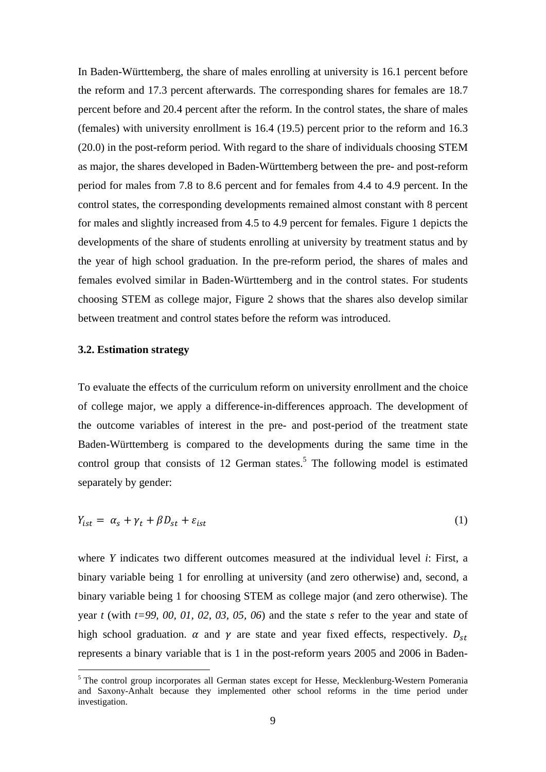In Baden-Württemberg, the share of males enrolling at university is 16.1 percent before the reform and 17.3 percent afterwards. The corresponding shares for females are 18.7 percent before and 20.4 percent after the reform. In the control states, the share of males (females) with university enrollment is 16.4 (19.5) percent prior to the reform and 16.3 (20.0) in the post-reform period. With regard to the share of individuals choosing STEM as major, the shares developed in Baden-Württemberg between the pre- and post-reform period for males from 7.8 to 8.6 percent and for females from 4.4 to 4.9 percent. In the control states, the corresponding developments remained almost constant with 8 percent for males and slightly increased from 4.5 to 4.9 percent for females. Figure 1 depicts the developments of the share of students enrolling at university by treatment status and by the year of high school graduation. In the pre-reform period, the shares of males and females evolved similar in Baden-Württemberg and in the control states. For students choosing STEM as college major, Figure 2 shows that the shares also develop similar between treatment and control states before the reform was introduced.

#### **3.2. Estimation strategy**

<u>.</u>

To evaluate the effects of the curriculum reform on university enrollment and the choice of college major, we apply a difference-in-differences approach. The development of the outcome variables of interest in the pre- and post-period of the treatment state Baden-Württemberg is compared to the developments during the same time in the control group that consists of 12 German states.<sup>5</sup> The following model is estimated separately by gender:

$$
Y_{ist} = \alpha_s + \gamma_t + \beta D_{st} + \varepsilon_{ist} \tag{1}
$$

where *Y* indicates two different outcomes measured at the individual level *i*: First, a binary variable being 1 for enrolling at university (and zero otherwise) and, second, a binary variable being 1 for choosing STEM as college major (and zero otherwise). The year *t* (with *t=99, 00, 01, 02, 03, 05, 06*) and the state *s* refer to the year and state of high school graduation.  $\alpha$  and  $\gamma$  are state and year fixed effects, respectively.  $D_{st}$ represents a binary variable that is 1 in the post-reform years 2005 and 2006 in Baden-

<sup>&</sup>lt;sup>5</sup> The control group incorporates all German states except for Hesse, Mecklenburg-Western Pomerania and Saxony-Anhalt because they implemented other school reforms in the time period under investigation.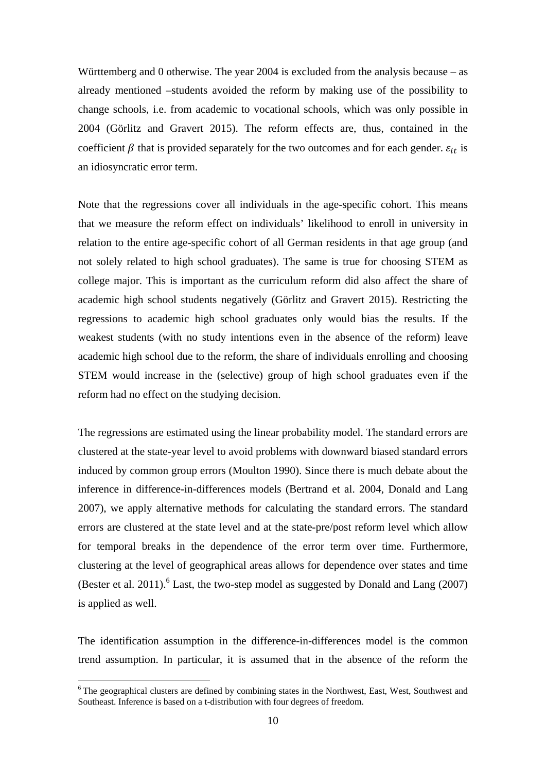Württemberg and 0 otherwise. The year 2004 is excluded from the analysis because – as already mentioned –students avoided the reform by making use of the possibility to change schools, i.e. from academic to vocational schools, which was only possible in 2004 (Görlitz and Gravert 2015). The reform effects are, thus, contained in the coefficient  $\beta$  that is provided separately for the two outcomes and for each gender.  $\varepsilon_{it}$  is an idiosyncratic error term.

Note that the regressions cover all individuals in the age-specific cohort. This means that we measure the reform effect on individuals' likelihood to enroll in university in relation to the entire age-specific cohort of all German residents in that age group (and not solely related to high school graduates). The same is true for choosing STEM as college major. This is important as the curriculum reform did also affect the share of academic high school students negatively (Görlitz and Gravert 2015). Restricting the regressions to academic high school graduates only would bias the results. If the weakest students (with no study intentions even in the absence of the reform) leave academic high school due to the reform, the share of individuals enrolling and choosing STEM would increase in the (selective) group of high school graduates even if the reform had no effect on the studying decision.

The regressions are estimated using the linear probability model. The standard errors are clustered at the state-year level to avoid problems with downward biased standard errors induced by common group errors (Moulton 1990). Since there is much debate about the inference in difference-in-differences models (Bertrand et al. 2004, Donald and Lang 2007), we apply alternative methods for calculating the standard errors. The standard errors are clustered at the state level and at the state-pre/post reform level which allow for temporal breaks in the dependence of the error term over time. Furthermore, clustering at the level of geographical areas allows for dependence over states and time (Bester et al. 2011).<sup>6</sup> Last, the two-step model as suggested by Donald and Lang  $(2007)$ is applied as well.

The identification assumption in the difference-in-differences model is the common trend assumption. In particular, it is assumed that in the absence of the reform the

-

<sup>&</sup>lt;sup>6</sup> The geographical clusters are defined by combining states in the Northwest, East, West, Southwest and Southeast. Inference is based on a t-distribution with four degrees of freedom.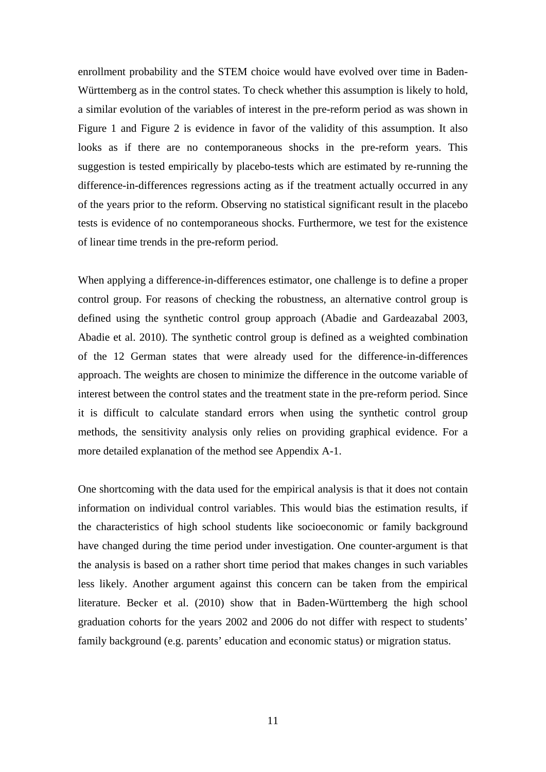enrollment probability and the STEM choice would have evolved over time in Baden-Württemberg as in the control states. To check whether this assumption is likely to hold, a similar evolution of the variables of interest in the pre-reform period as was shown in Figure 1 and Figure 2 is evidence in favor of the validity of this assumption. It also looks as if there are no contemporaneous shocks in the pre-reform years. This suggestion is tested empirically by placebo-tests which are estimated by re-running the difference-in-differences regressions acting as if the treatment actually occurred in any of the years prior to the reform. Observing no statistical significant result in the placebo tests is evidence of no contemporaneous shocks. Furthermore, we test for the existence of linear time trends in the pre-reform period.

When applying a difference-in-differences estimator, one challenge is to define a proper control group. For reasons of checking the robustness, an alternative control group is defined using the synthetic control group approach (Abadie and Gardeazabal 2003, Abadie et al. 2010). The synthetic control group is defined as a weighted combination of the 12 German states that were already used for the difference-in-differences approach. The weights are chosen to minimize the difference in the outcome variable of interest between the control states and the treatment state in the pre-reform period. Since it is difficult to calculate standard errors when using the synthetic control group methods, the sensitivity analysis only relies on providing graphical evidence. For a more detailed explanation of the method see Appendix A-1.

One shortcoming with the data used for the empirical analysis is that it does not contain information on individual control variables. This would bias the estimation results, if the characteristics of high school students like socioeconomic or family background have changed during the time period under investigation. One counter-argument is that the analysis is based on a rather short time period that makes changes in such variables less likely. Another argument against this concern can be taken from the empirical literature. Becker et al. (2010) show that in Baden-Württemberg the high school graduation cohorts for the years 2002 and 2006 do not differ with respect to students' family background (e.g. parents' education and economic status) or migration status.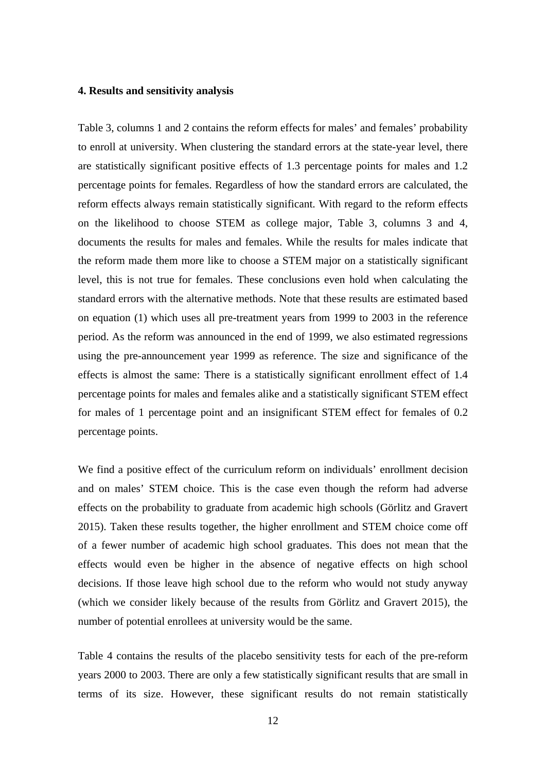#### **4. Results and sensitivity analysis**

Table 3, columns 1 and 2 contains the reform effects for males' and females' probability to enroll at university. When clustering the standard errors at the state-year level, there are statistically significant positive effects of 1.3 percentage points for males and 1.2 percentage points for females. Regardless of how the standard errors are calculated, the reform effects always remain statistically significant. With regard to the reform effects on the likelihood to choose STEM as college major, Table 3, columns 3 and 4, documents the results for males and females. While the results for males indicate that the reform made them more like to choose a STEM major on a statistically significant level, this is not true for females. These conclusions even hold when calculating the standard errors with the alternative methods. Note that these results are estimated based on equation (1) which uses all pre-treatment years from 1999 to 2003 in the reference period. As the reform was announced in the end of 1999, we also estimated regressions using the pre-announcement year 1999 as reference. The size and significance of the effects is almost the same: There is a statistically significant enrollment effect of 1.4 percentage points for males and females alike and a statistically significant STEM effect for males of 1 percentage point and an insignificant STEM effect for females of 0.2 percentage points.

We find a positive effect of the curriculum reform on individuals' enrollment decision and on males' STEM choice. This is the case even though the reform had adverse effects on the probability to graduate from academic high schools (Görlitz and Gravert 2015). Taken these results together, the higher enrollment and STEM choice come off of a fewer number of academic high school graduates. This does not mean that the effects would even be higher in the absence of negative effects on high school decisions. If those leave high school due to the reform who would not study anyway (which we consider likely because of the results from Görlitz and Gravert 2015), the number of potential enrollees at university would be the same.

Table 4 contains the results of the placebo sensitivity tests for each of the pre-reform years 2000 to 2003. There are only a few statistically significant results that are small in terms of its size. However, these significant results do not remain statistically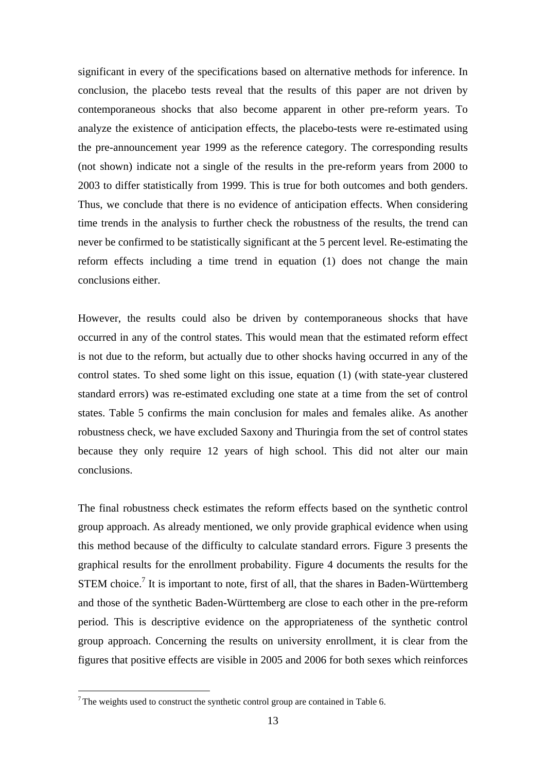significant in every of the specifications based on alternative methods for inference. In conclusion, the placebo tests reveal that the results of this paper are not driven by contemporaneous shocks that also become apparent in other pre-reform years. To analyze the existence of anticipation effects, the placebo-tests were re-estimated using the pre-announcement year 1999 as the reference category. The corresponding results (not shown) indicate not a single of the results in the pre-reform years from 2000 to 2003 to differ statistically from 1999. This is true for both outcomes and both genders. Thus, we conclude that there is no evidence of anticipation effects. When considering time trends in the analysis to further check the robustness of the results, the trend can never be confirmed to be statistically significant at the 5 percent level. Re-estimating the reform effects including a time trend in equation (1) does not change the main conclusions either.

However, the results could also be driven by contemporaneous shocks that have occurred in any of the control states. This would mean that the estimated reform effect is not due to the reform, but actually due to other shocks having occurred in any of the control states. To shed some light on this issue, equation (1) (with state-year clustered standard errors) was re-estimated excluding one state at a time from the set of control states. Table 5 confirms the main conclusion for males and females alike. As another robustness check, we have excluded Saxony and Thuringia from the set of control states because they only require 12 years of high school. This did not alter our main conclusions.

The final robustness check estimates the reform effects based on the synthetic control group approach. As already mentioned, we only provide graphical evidence when using this method because of the difficulty to calculate standard errors. Figure 3 presents the graphical results for the enrollment probability. Figure 4 documents the results for the STEM choice.<sup>7</sup> It is important to note, first of all, that the shares in Baden-Württemberg and those of the synthetic Baden-Württemberg are close to each other in the pre-reform period. This is descriptive evidence on the appropriateness of the synthetic control group approach. Concerning the results on university enrollment, it is clear from the figures that positive effects are visible in 2005 and 2006 for both sexes which reinforces

<u>.</u>

 $7$  The weights used to construct the synthetic control group are contained in Table 6.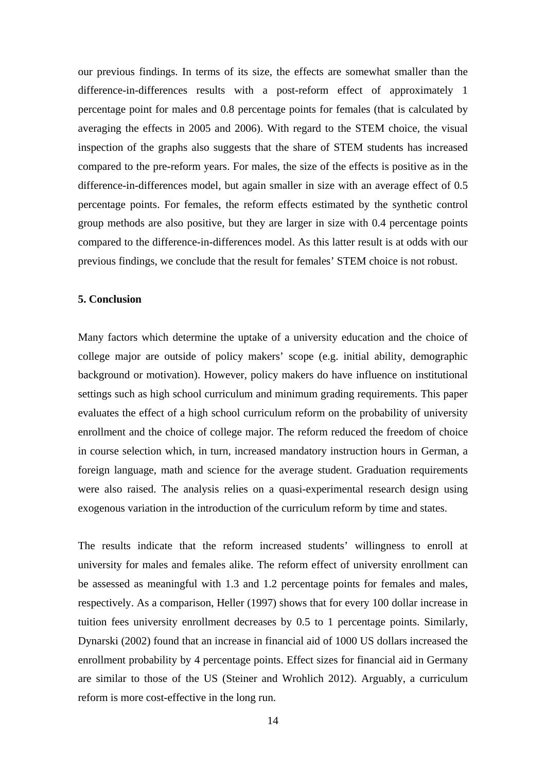our previous findings. In terms of its size, the effects are somewhat smaller than the difference-in-differences results with a post-reform effect of approximately 1 percentage point for males and 0.8 percentage points for females (that is calculated by averaging the effects in 2005 and 2006). With regard to the STEM choice, the visual inspection of the graphs also suggests that the share of STEM students has increased compared to the pre-reform years. For males, the size of the effects is positive as in the difference-in-differences model, but again smaller in size with an average effect of 0.5 percentage points. For females, the reform effects estimated by the synthetic control group methods are also positive, but they are larger in size with 0.4 percentage points compared to the difference-in-differences model. As this latter result is at odds with our previous findings, we conclude that the result for females' STEM choice is not robust.

#### **5. Conclusion**

Many factors which determine the uptake of a university education and the choice of college major are outside of policy makers' scope (e.g. initial ability, demographic background or motivation). However, policy makers do have influence on institutional settings such as high school curriculum and minimum grading requirements. This paper evaluates the effect of a high school curriculum reform on the probability of university enrollment and the choice of college major. The reform reduced the freedom of choice in course selection which, in turn, increased mandatory instruction hours in German, a foreign language, math and science for the average student. Graduation requirements were also raised. The analysis relies on a quasi-experimental research design using exogenous variation in the introduction of the curriculum reform by time and states.

The results indicate that the reform increased students' willingness to enroll at university for males and females alike. The reform effect of university enrollment can be assessed as meaningful with 1.3 and 1.2 percentage points for females and males, respectively. As a comparison, Heller (1997) shows that for every 100 dollar increase in tuition fees university enrollment decreases by 0.5 to 1 percentage points. Similarly, Dynarski (2002) found that an increase in financial aid of 1000 US dollars increased the enrollment probability by 4 percentage points. Effect sizes for financial aid in Germany are similar to those of the US (Steiner and Wrohlich 2012). Arguably, a curriculum reform is more cost-effective in the long run.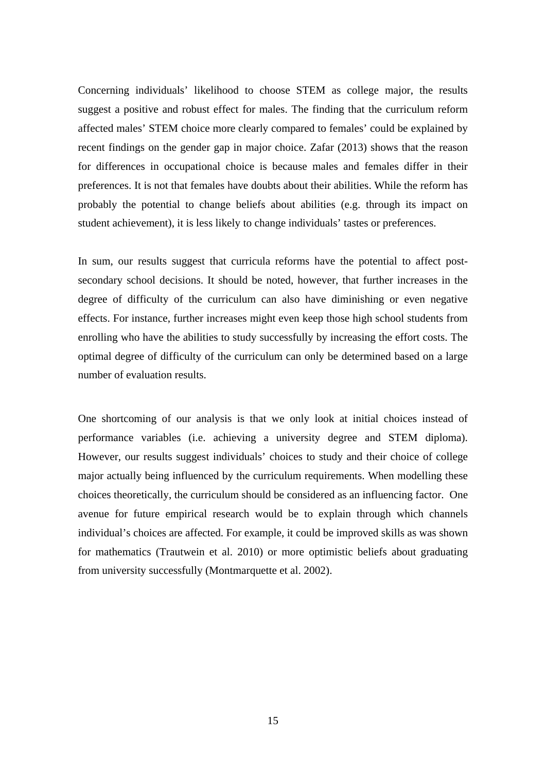Concerning individuals' likelihood to choose STEM as college major, the results suggest a positive and robust effect for males. The finding that the curriculum reform affected males' STEM choice more clearly compared to females' could be explained by recent findings on the gender gap in major choice. Zafar (2013) shows that the reason for differences in occupational choice is because males and females differ in their preferences. It is not that females have doubts about their abilities. While the reform has probably the potential to change beliefs about abilities (e.g. through its impact on student achievement), it is less likely to change individuals' tastes or preferences.

In sum, our results suggest that curricula reforms have the potential to affect postsecondary school decisions. It should be noted, however, that further increases in the degree of difficulty of the curriculum can also have diminishing or even negative effects. For instance, further increases might even keep those high school students from enrolling who have the abilities to study successfully by increasing the effort costs. The optimal degree of difficulty of the curriculum can only be determined based on a large number of evaluation results.

One shortcoming of our analysis is that we only look at initial choices instead of performance variables (i.e. achieving a university degree and STEM diploma). However, our results suggest individuals' choices to study and their choice of college major actually being influenced by the curriculum requirements. When modelling these choices theoretically, the curriculum should be considered as an influencing factor. One avenue for future empirical research would be to explain through which channels individual's choices are affected. For example, it could be improved skills as was shown for mathematics (Trautwein et al. 2010) or more optimistic beliefs about graduating from university successfully (Montmarquette et al. 2002).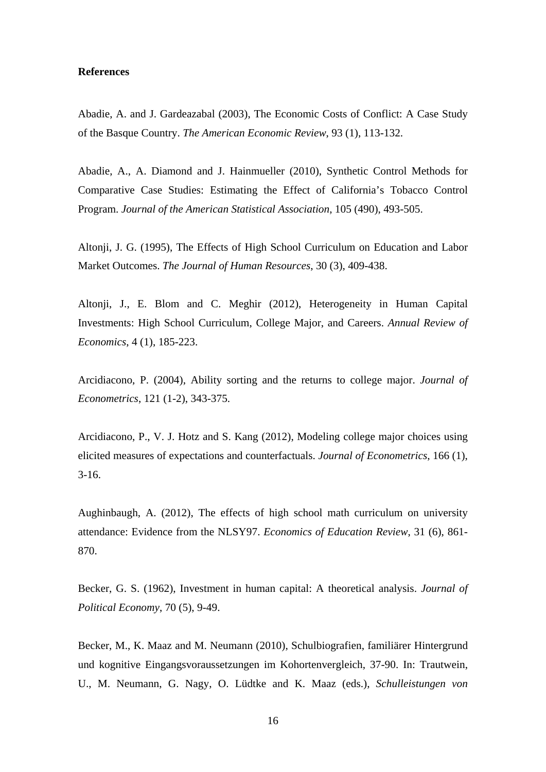#### **References**

Abadie, A. and J. Gardeazabal (2003), The Economic Costs of Conflict: A Case Study of the Basque Country. *The American Economic Review*, 93 (1), 113-132.

Abadie, A., A. Diamond and J. Hainmueller (2010), Synthetic Control Methods for Comparative Case Studies: Estimating the Effect of California's Tobacco Control Program. *Journal of the American Statistical Association*, 105 (490), 493-505.

Altonji, J. G. (1995), The Effects of High School Curriculum on Education and Labor Market Outcomes. *The Journal of Human Resources*, 30 (3), 409-438.

Altonji, J., E. Blom and C. Meghir (2012), Heterogeneity in Human Capital Investments: High School Curriculum, College Major, and Careers. *Annual Review of Economics*, 4 (1), 185-223.

Arcidiacono, P. (2004), Ability sorting and the returns to college major. *Journal of Econometrics*, 121 (1-2), 343-375.

Arcidiacono, P., V. J. Hotz and S. Kang (2012), Modeling college major choices using elicited measures of expectations and counterfactuals. *Journal of Econometrics*, 166 (1), 3-16.

Aughinbaugh, A. (2012), The effects of high school math curriculum on university attendance: Evidence from the NLSY97. *Economics of Education Review*, 31 (6), 861- 870.

Becker, G. S. (1962), Investment in human capital: A theoretical analysis. *Journal of Political Economy*, 70 (5), 9-49.

Becker, M., K. Maaz and M. Neumann (2010), Schulbiografien, familiärer Hintergrund und kognitive Eingangsvoraussetzungen im Kohortenvergleich, 37-90. In: Trautwein, U., M. Neumann, G. Nagy, O. Lüdtke and K. Maaz (eds.), *Schulleistungen von*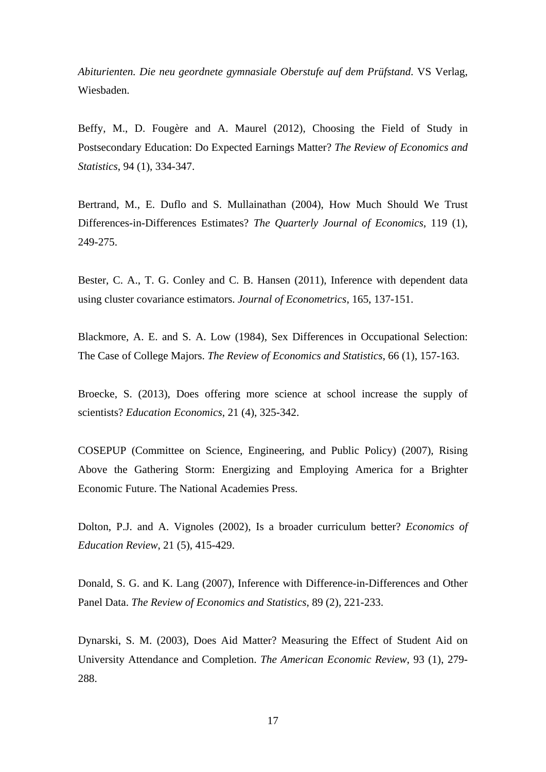*Abiturienten. Die neu geordnete gymnasiale Oberstufe auf dem Prüfstand*. VS Verlag, Wiesbaden.

Beffy, M., D. Fougère and A. Maurel (2012), Choosing the Field of Study in Postsecondary Education: Do Expected Earnings Matter? *The Review of Economics and Statistics*, 94 (1), 334-347.

Bertrand, M., E. Duflo and S. Mullainathan (2004), How Much Should We Trust Differences-in-Differences Estimates? *The Quarterly Journal of Economics*, 119 (1), 249-275.

Bester, C. A., T. G. Conley and C. B. Hansen (2011), Inference with dependent data using cluster covariance estimators. *Journal of Econometrics*, 165, 137-151.

Blackmore, A. E. and S. A. Low (1984), Sex Differences in Occupational Selection: The Case of College Majors. *The Review of Economics and Statistics*, 66 (1), 157-163.

Broecke, S. (2013), Does offering more science at school increase the supply of scientists? *Education Economics*, 21 (4), 325-342.

COSEPUP (Committee on Science, Engineering, and Public Policy) (2007), Rising Above the Gathering Storm: Energizing and Employing America for a Brighter Economic Future. The National Academies Press.

Dolton, P.J. and A. Vignoles (2002), Is a broader curriculum better? *Economics of Education Review*, 21 (5), 415-429.

Donald, S. G. and K. Lang (2007), Inference with Difference-in-Differences and Other Panel Data. *The Review of Economics and Statistics*, 89 (2), 221-233.

Dynarski, S. M. (2003), Does Aid Matter? Measuring the Effect of Student Aid on University Attendance and Completion. *The American Economic Review*, 93 (1), 279- 288.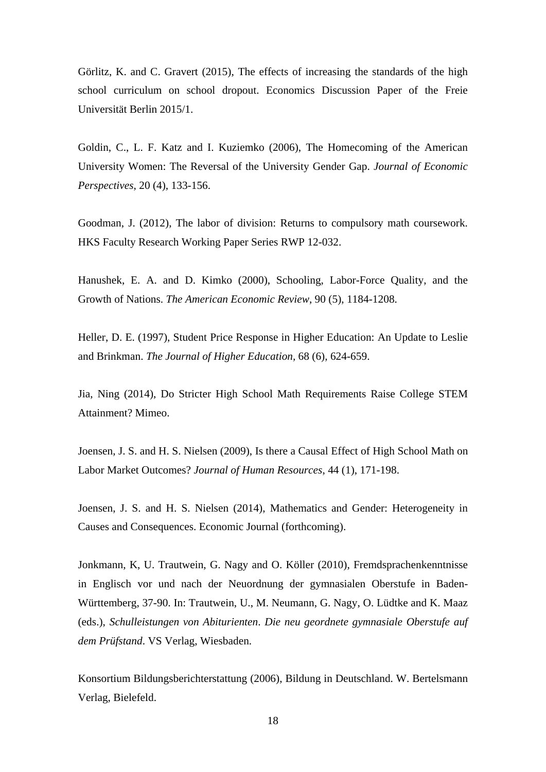Görlitz, K. and C. Gravert (2015), The effects of increasing the standards of the high school curriculum on school dropout. Economics Discussion Paper of the Freie Universität Berlin 2015/1.

Goldin, C., L. F. Katz and I. Kuziemko (2006), The Homecoming of the American University Women: The Reversal of the University Gender Gap. *Journal of Economic Perspectives*, 20 (4), 133-156.

Goodman, J. (2012), The labor of division: Returns to compulsory math coursework. HKS Faculty Research Working Paper Series RWP 12-032.

Hanushek, E. A. and D. Kimko (2000), Schooling, Labor-Force Quality, and the Growth of Nations. *The American Economic Review*, 90 (5), 1184-1208.

Heller, D. E. (1997), Student Price Response in Higher Education: An Update to Leslie and Brinkman. *The Journal of Higher Education,* 68 (6), 624-659.

Jia, Ning (2014), Do Stricter High School Math Requirements Raise College STEM Attainment? Mimeo.

Joensen, J. S. and H. S. Nielsen (2009), Is there a Causal Effect of High School Math on Labor Market Outcomes? *Journal of Human Resources*, 44 (1), 171-198.

Joensen, J. S. and H. S. Nielsen (2014), Mathematics and Gender: Heterogeneity in Causes and Consequences. Economic Journal (forthcoming).

Jonkmann, K, U. Trautwein, G. Nagy and O. Köller (2010), Fremdsprachenkenntnisse in Englisch vor und nach der Neuordnung der gymnasialen Oberstufe in Baden-Württemberg, 37-90. In: Trautwein, U., M. Neumann, G. Nagy, O. Lüdtke and K. Maaz (eds.), *Schulleistungen von Abiturienten*. *Die neu geordnete gymnasiale Oberstufe auf dem Prüfstand*. VS Verlag, Wiesbaden.

Konsortium Bildungsberichterstattung (2006), Bildung in Deutschland. W. Bertelsmann Verlag, Bielefeld.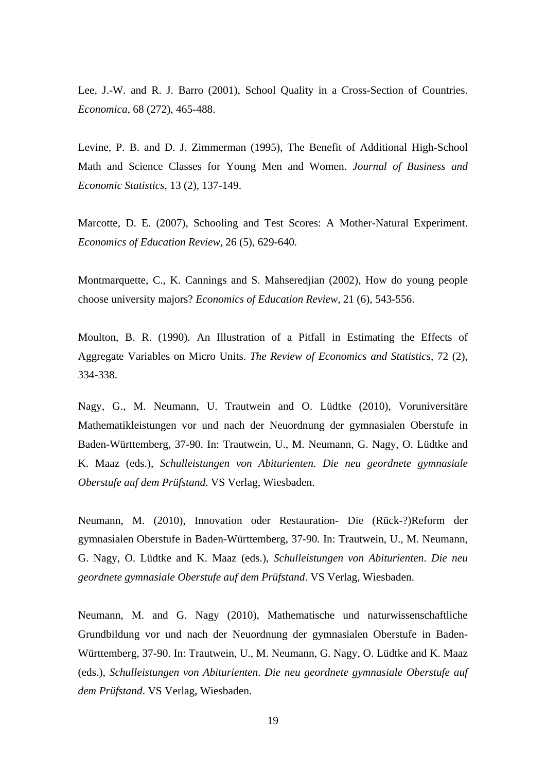Lee, J.-W. and R. J. Barro (2001), School Quality in a Cross-Section of Countries. *Economica*, 68 (272), 465-488.

Levine, P. B. and D. J. Zimmerman (1995), The Benefit of Additional High-School Math and Science Classes for Young Men and Women. *Journal of Business and Economic Statistics*, 13 (2), 137-149.

Marcotte, D. E. (2007), Schooling and Test Scores: A Mother-Natural Experiment. *Economics of Education Review*, 26 (5), 629-640.

Montmarquette, C., K. Cannings and S. Mahseredjian (2002), How do young people choose university majors? *Economics of Education Review,* 21 (6), 543-556.

Moulton, B. R. (1990). An Illustration of a Pitfall in Estimating the Effects of Aggregate Variables on Micro Units. *The Review of Economics and Statistics*, 72 (2), 334-338.

Nagy, G., M. Neumann, U. Trautwein and O. Lüdtke (2010), Voruniversitäre Mathematikleistungen vor und nach der Neuordnung der gymnasialen Oberstufe in Baden-Württemberg, 37-90. In: Trautwein, U., M. Neumann, G. Nagy, O. Lüdtke and K. Maaz (eds.), *Schulleistungen von Abiturienten*. *Die neu geordnete gymnasiale Oberstufe auf dem Prüfstand*. VS Verlag, Wiesbaden.

Neumann, M. (2010), Innovation oder Restauration- Die (Rück-?)Reform der gymnasialen Oberstufe in Baden-Württemberg, 37-90. In: Trautwein, U., M. Neumann, G. Nagy, O. Lüdtke and K. Maaz (eds.), *Schulleistungen von Abiturienten*. *Die neu geordnete gymnasiale Oberstufe auf dem Prüfstand*. VS Verlag, Wiesbaden.

Neumann, M. and G. Nagy (2010), Mathematische und naturwissenschaftliche Grundbildung vor und nach der Neuordnung der gymnasialen Oberstufe in Baden-Württemberg, 37-90. In: Trautwein, U., M. Neumann, G. Nagy, O. Lüdtke and K. Maaz (eds.), *Schulleistungen von Abiturienten*. *Die neu geordnete gymnasiale Oberstufe auf dem Prüfstand*. VS Verlag, Wiesbaden.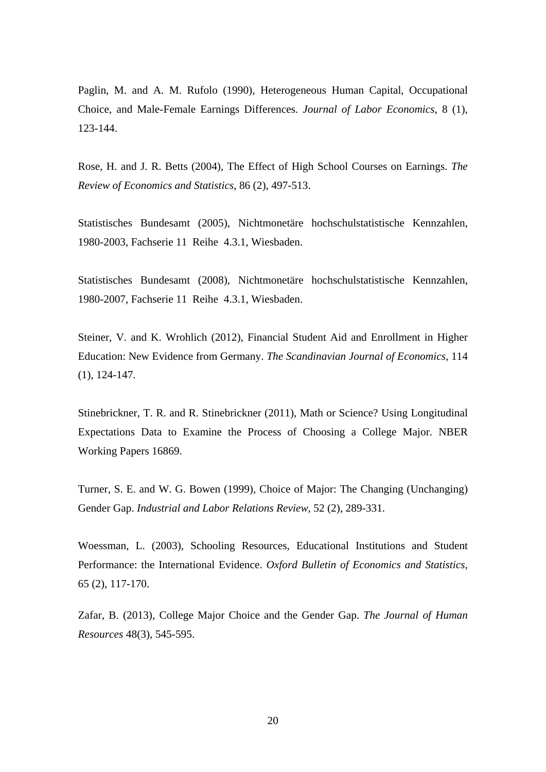Paglin, M. and A. M. Rufolo (1990), Heterogeneous Human Capital, Occupational Choice, and Male-Female Earnings Differences. *Journal of Labor Economics*, 8 (1), 123-144.

Rose, H. and J. R. Betts (2004), The Effect of High School Courses on Earnings. *The Review of Economics and Statistics*, 86 (2), 497-513.

Statistisches Bundesamt (2005), Nichtmonetäre hochschulstatistische Kennzahlen, 1980-2003, Fachserie 11 Reihe 4.3.1, Wiesbaden.

Statistisches Bundesamt (2008), Nichtmonetäre hochschulstatistische Kennzahlen, 1980-2007, Fachserie 11 Reihe 4.3.1, Wiesbaden.

Steiner, V. and K. Wrohlich (2012), Financial Student Aid and Enrollment in Higher Education: New Evidence from Germany. *The Scandinavian Journal of Economics*, 114 (1), 124-147.

Stinebrickner, T. R. and R. Stinebrickner (2011), Math or Science? Using Longitudinal Expectations Data to Examine the Process of Choosing a College Major. NBER Working Papers 16869.

Turner, S. E. and W. G. Bowen (1999), Choice of Major: The Changing (Unchanging) Gender Gap. *Industrial and Labor Relations Review*, 52 (2), 289-331.

Woessman, L. (2003), Schooling Resources, Educational Institutions and Student Performance: the International Evidence. *Oxford Bulletin of Economics and Statistics*, 65 (2), 117-170.

Zafar, B. (2013), College Major Choice and the Gender Gap. *The Journal of Human Resources* 48(3), 545-595.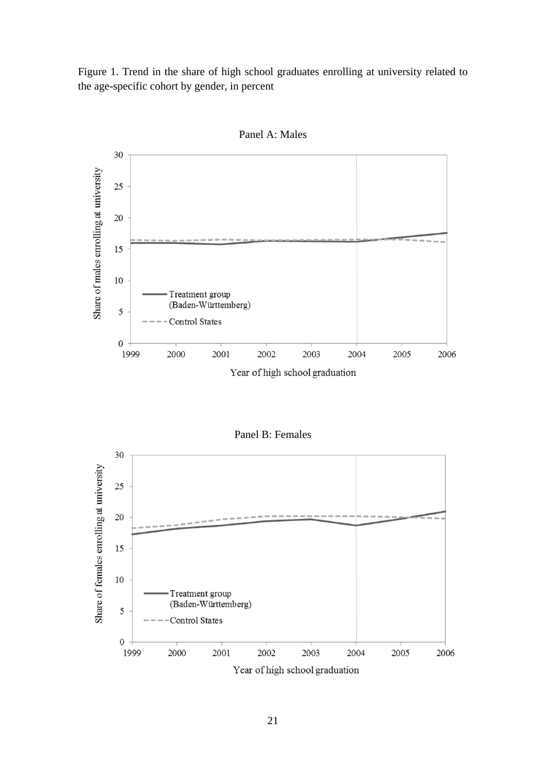Figure 1. Trend in the share of high school graduates enrolling at university related to the age-specific cohort by gender, in percent



Panel A: Males

Panel B: Females

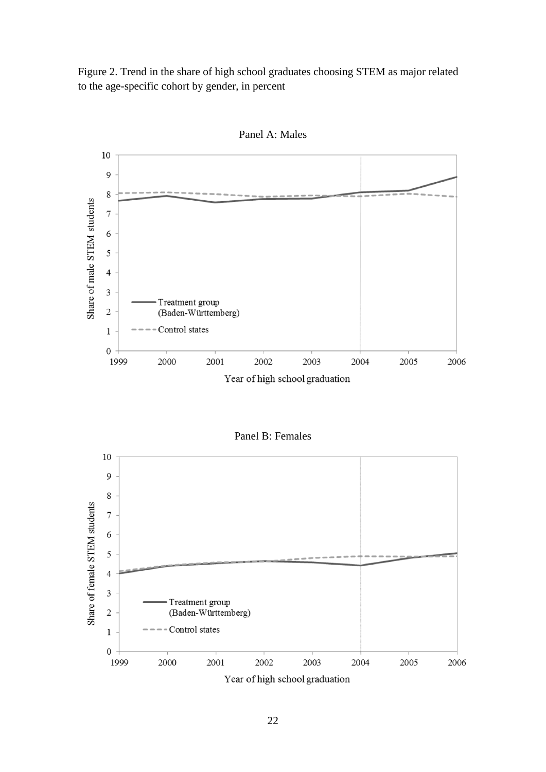Figure 2. Trend in the share of high school graduates choosing STEM as major related to the age-specific cohort by gender, in percent



Panel A: Males

Panel B: Females

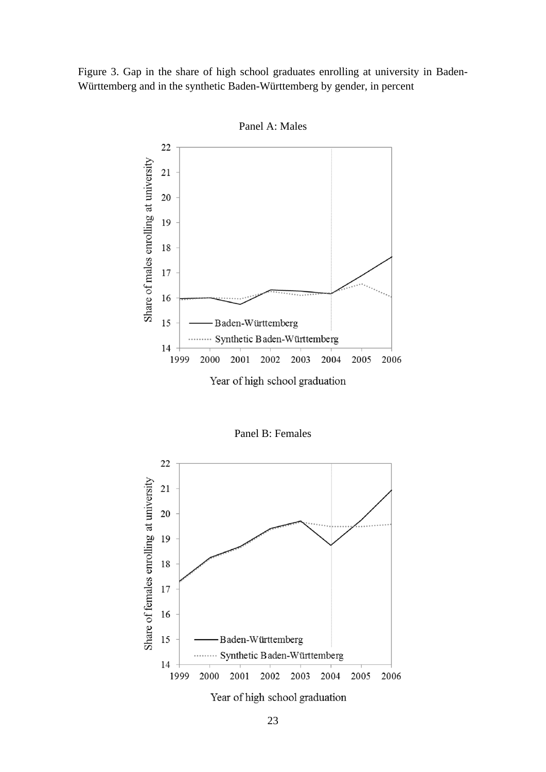Figure 3. Gap in the share of high school graduates enrolling at university in Baden-Württemberg and in the synthetic Baden-Württemberg by gender, in percent



Panel A: Males

Panel B: Females

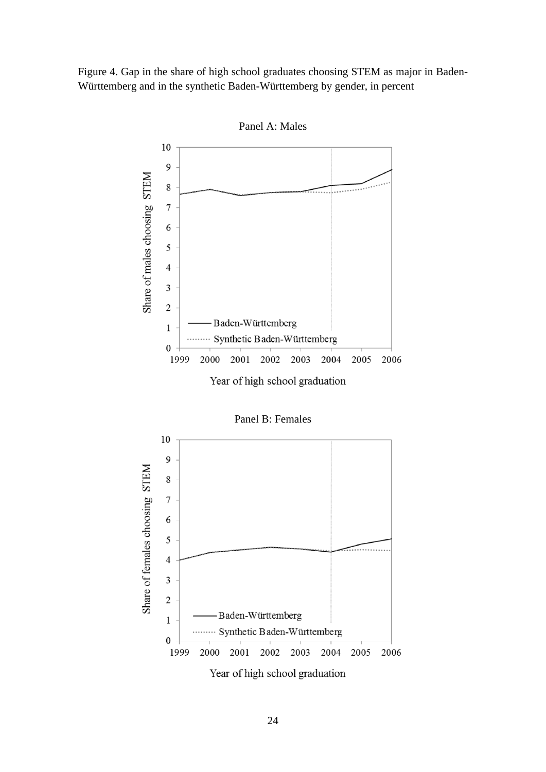Figure 4. Gap in the share of high school graduates choosing STEM as major in Baden-Württemberg and in the synthetic Baden-Württemberg by gender, in percent



Panel A: Males



24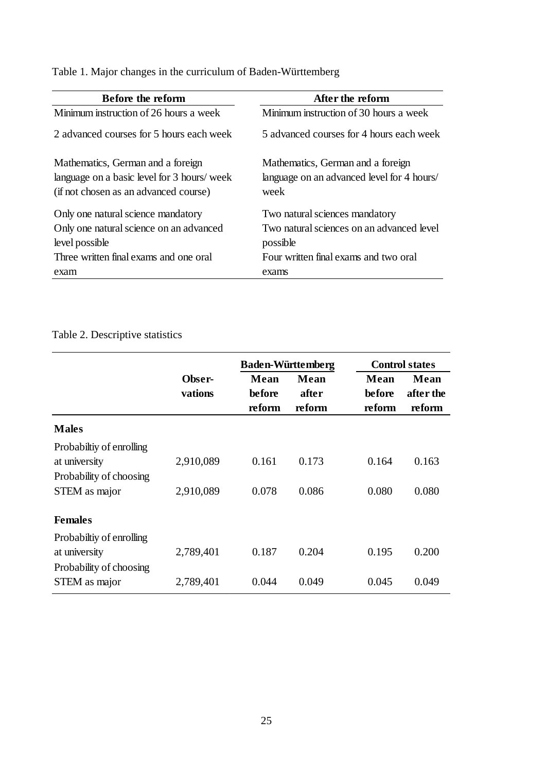Table 1. Major changes in the curriculum of Baden-Württemberg

| Before the reform                                                                                                         | After the reform                                                                        |
|---------------------------------------------------------------------------------------------------------------------------|-----------------------------------------------------------------------------------------|
| Minimum instruction of 26 hours a week                                                                                    | Minimum instruction of 30 hours a week                                                  |
| 2 advanced courses for 5 hours each week                                                                                  | 5 advanced courses for 4 hours each week                                                |
| Mathematics, German and a foreign<br>language on a basic level for 3 hours/ week<br>(if not chosen as an advanced course) | Mathematics, German and a foreign<br>language on an advanced level for 4 hours/<br>week |
| Only one natural science mandatory<br>Only one natural science on an advanced<br>level possible                           | Two natural sciences mandatory<br>Two natural sciences on an advanced level<br>possible |
| Three written final exams and one oral<br>exam                                                                            | Four written final exams and two oral<br>exams                                          |
|                                                                                                                           |                                                                                         |

## Table 2. Descriptive statistics

|                                                                                       |                        | <b>Baden-Württemberg</b> |                         |                          | <b>Control states</b>       |  |
|---------------------------------------------------------------------------------------|------------------------|--------------------------|-------------------------|--------------------------|-----------------------------|--|
|                                                                                       | Obser-<br>vations      | Mean<br>before<br>reform | Mean<br>after<br>reform | Mean<br>before<br>reform | Mean<br>after the<br>reform |  |
| <b>Males</b>                                                                          |                        |                          |                         |                          |                             |  |
| Probabiltiy of enrolling<br>at university<br>Probability of choosing<br>STEM as major | 2,910,089<br>2,910,089 | 0.161<br>0.078           | 0.173<br>0.086          | 0.164<br>0.080           | 0.163<br>0.080              |  |
| <b>Females</b>                                                                        |                        |                          |                         |                          |                             |  |
| Probabiltiy of enrolling<br>at university<br>Probability of choosing                  | 2,789,401              | 0.187                    | 0.204                   | 0.195                    | 0.200                       |  |
| STEM as major                                                                         | 2,789,401              | 0.044                    | 0.049                   | 0.045                    | 0.049                       |  |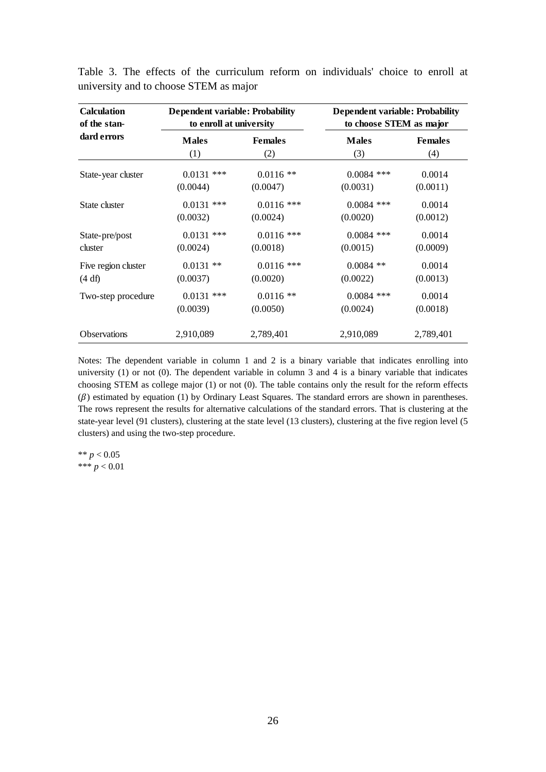| <b>Calculation</b>  | <b>Dependent variable: Probability</b> |                | <b>Dependent variable: Probability</b> |                |  |
|---------------------|----------------------------------------|----------------|----------------------------------------|----------------|--|
| of the stan-        | to enroll at university                |                | to choose STEM as major                |                |  |
| dard errors         | <b>Males</b>                           | <b>Females</b> | <b>Males</b>                           | <b>Females</b> |  |
|                     | (1)                                    | (2)            | (3)                                    | (4)            |  |
| State-year cluster  | $0.0131$ ***                           | $0.0116$ **    | $0.0084$ ***                           | 0.0014         |  |
|                     | (0.0044)                               | (0.0047)       | (0.0031)                               | (0.0011)       |  |
| State cluster       | $0.0131$ ***                           | $0.0116$ ***   | $0.0084$ ***                           | 0.0014         |  |
|                     | (0.0032)                               | (0.0024)       | (0.0020)                               | (0.0012)       |  |
| State-pre/post      | $0.0131$ ***                           | $0.0116$ ***   | $0.0084$ ***                           | 0.0014         |  |
| cluster             | (0.0024)                               | (0.0018)       | (0.0015)                               | (0.0009)       |  |
| Five region cluster | $0.0131$ **                            | $0.0116$ ***   | $0.0084$ **                            | 0.0014         |  |
| (4 df)              | (0.0037)                               | (0.0020)       | (0.0022)                               | (0.0013)       |  |
| Two-step procedure  | $0.0131$ ***                           | $0.0116$ **    | $0.0084$ ***                           | 0.0014         |  |
|                     | (0.0039)                               | (0.0050)       | (0.0024)                               | (0.0018)       |  |
| <b>Observations</b> | 2,910,089                              | 2,789,401      | 2,910,089                              | 2,789,401      |  |

Table 3. The effects of the curriculum reform on individuals' choice to enroll at university and to choose STEM as major

Notes: The dependent variable in column 1 and 2 is a binary variable that indicates enrolling into university (1) or not (0). The dependent variable in column 3 and 4 is a binary variable that indicates choosing STEM as college major (1) or not (0). The table contains only the result for the reform effects  $(\beta)$  estimated by equation (1) by Ordinary Least Squares. The standard errors are shown in parentheses. The rows represent the results for alternative calculations of the standard errors. That is clustering at the state-year level (91 clusters), clustering at the state level (13 clusters), clustering at the five region level (5 clusters) and using the two-step procedure.

\*\* *p* < 0.05 \*\*\* *p* < 0.01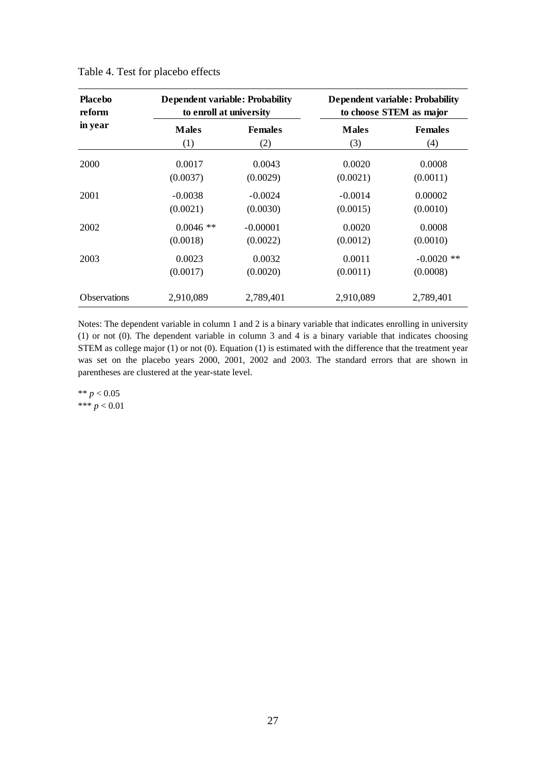| <b>Placebo</b><br>reform |              | <b>Dependent variable: Probability</b><br>to enroll at university |              | <b>Dependent variable: Probability</b><br>to choose STEM as major |  |  |
|--------------------------|--------------|-------------------------------------------------------------------|--------------|-------------------------------------------------------------------|--|--|
| in year                  | <b>Males</b> | <b>Females</b>                                                    | <b>Males</b> | <b>Females</b>                                                    |  |  |
|                          | (1)          | (2)                                                               | (3)          | (4)                                                               |  |  |
| 2000                     | 0.0017       | 0.0043                                                            | 0.0020       | 0.0008                                                            |  |  |
|                          | (0.0037)     | (0.0029)                                                          | (0.0021)     | (0.0011)                                                          |  |  |
| 2001                     | $-0.0038$    | $-0.0024$                                                         | $-0.0014$    | 0.00002                                                           |  |  |
|                          | (0.0021)     | (0.0030)                                                          | (0.0015)     | (0.0010)                                                          |  |  |
| 2002                     | $0.0046$ **  | $-0.00001$                                                        | 0.0020       | 0.0008                                                            |  |  |
|                          | (0.0018)     | (0.0022)                                                          | (0.0012)     | (0.0010)                                                          |  |  |
| 2003                     | 0.0023       | 0.0032                                                            | 0.0011       | $-0.0020$ **                                                      |  |  |
|                          | (0.0017)     | (0.0020)                                                          | (0.0011)     | (0.0008)                                                          |  |  |
| <b>Observations</b>      | 2,910,089    | 2,789,401                                                         | 2,910,089    | 2,789,401                                                         |  |  |

Table 4. Test for placebo effects

Notes: The dependent variable in column 1 and 2 is a binary variable that indicates enrolling in university (1) or not (0). The dependent variable in column 3 and 4 is a binary variable that indicates choosing STEM as college major (1) or not (0). Equation (1) is estimated with the difference that the treatment year was set on the placebo years 2000, 2001, 2002 and 2003. The standard errors that are shown in parentheses are clustered at the year-state level.

\*\*  $p < 0.05$ \*\*\* *p* < 0.01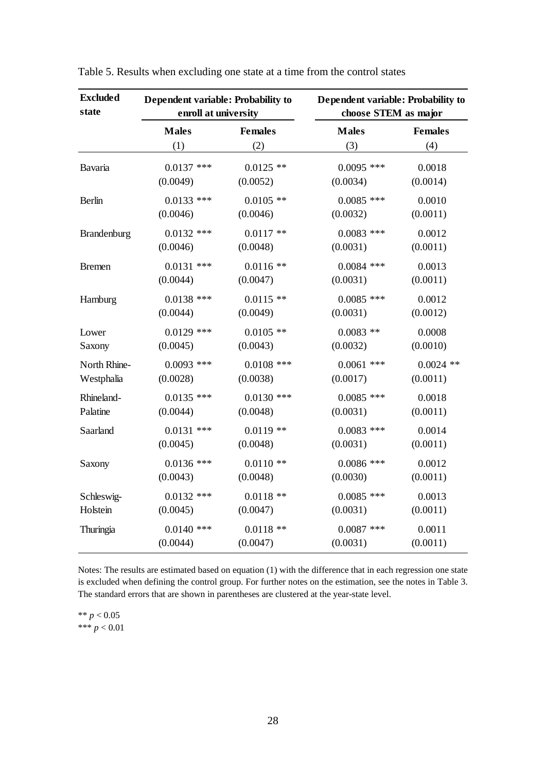| <b>Excluded</b><br>state | Dependent variable: Probability to<br>enroll at university |                | Dependent variable: Probability to<br>choose STEM as major |                |  |
|--------------------------|------------------------------------------------------------|----------------|------------------------------------------------------------|----------------|--|
|                          | <b>Males</b>                                               | <b>Females</b> | <b>Males</b>                                               | <b>Females</b> |  |
|                          | (1)                                                        | (2)            | (3)                                                        | (4)            |  |
| Bavaria                  | $0.0137$ ***                                               | $0.0125$ **    | $0.0095$ ***                                               | 0.0018         |  |
|                          | (0.0049)                                                   | (0.0052)       | (0.0034)                                                   | (0.0014)       |  |
| Berlin                   | $0.0133$ ***                                               | $0.0105$ **    | $0.0085$ ***                                               | 0.0010         |  |
|                          | (0.0046)                                                   | (0.0046)       | (0.0032)                                                   | (0.0011)       |  |
| Brandenburg              | $0.0132$ ***                                               | $0.0117**$     | $0.0083$ ***                                               | 0.0012         |  |
|                          | (0.0046)                                                   | (0.0048)       | (0.0031)                                                   | (0.0011)       |  |
| <b>Bremen</b>            | $0.0131$ ***                                               | $0.0116$ **    | $0.0084$ ***                                               | 0.0013         |  |
|                          | (0.0044)                                                   | (0.0047)       | (0.0031)                                                   | (0.0011)       |  |
| Hamburg                  | $0.0138$ ***                                               | $0.0115$ **    | $0.0085$ ***                                               | 0.0012         |  |
|                          | (0.0044)                                                   | (0.0049)       | (0.0031)                                                   | (0.0012)       |  |
| Lower                    | $0.0129$ ***                                               | $0.0105$ **    | $0.0083$ **                                                | 0.0008         |  |
| Saxony                   | (0.0045)                                                   | (0.0043)       | (0.0032)                                                   | (0.0010)       |  |
| North Rhine-             | $0.0093$ ***                                               | $0.0108$ ***   | $0.0061$ ***                                               | $0.0024$ **    |  |
| Westphalia               | (0.0028)                                                   | (0.0038)       | (0.0017)                                                   | (0.0011)       |  |
| Rhineland-               | $0.0135$ ***                                               | $0.0130$ ***   | $0.0085$ ***                                               | 0.0018         |  |
| Palatine                 | (0.0044)                                                   | (0.0048)       | (0.0031)                                                   | (0.0011)       |  |
| Saarland                 | $0.0131$ ***                                               | $0.0119$ **    | $0.0083$ ***                                               | 0.0014         |  |
|                          | (0.0045)                                                   | (0.0048)       | (0.0031)                                                   | (0.0011)       |  |
| Saxony                   | $0.0136$ ***                                               | $0.0110**$     | $0.0086$ ***                                               | 0.0012         |  |
|                          | (0.0043)                                                   | (0.0048)       | (0.0030)                                                   | (0.0011)       |  |
| Schleswig-               | $0.0132$ ***                                               | $0.0118**$     | $0.0085$ ***                                               | 0.0013         |  |
| Holstein                 | (0.0045)                                                   | (0.0047)       | (0.0031)                                                   | (0.0011)       |  |
| Thuringia                | $0.0140$ ***                                               | $0.0118$ **    | $0.0087$ ***                                               | 0.0011         |  |
|                          | (0.0044)                                                   | (0.0047)       | (0.0031)                                                   | (0.0011)       |  |

Table 5. Results when excluding one state at a time from the control states

Notes: The results are estimated based on equation (1) with the difference that in each regression one state is excluded when defining the control group. For further notes on the estimation, see the notes in Table 3. The standard errors that are shown in parentheses are clustered at the year-state level.

\*\* *p* < 0.05 \*\*\*  $p < 0.01$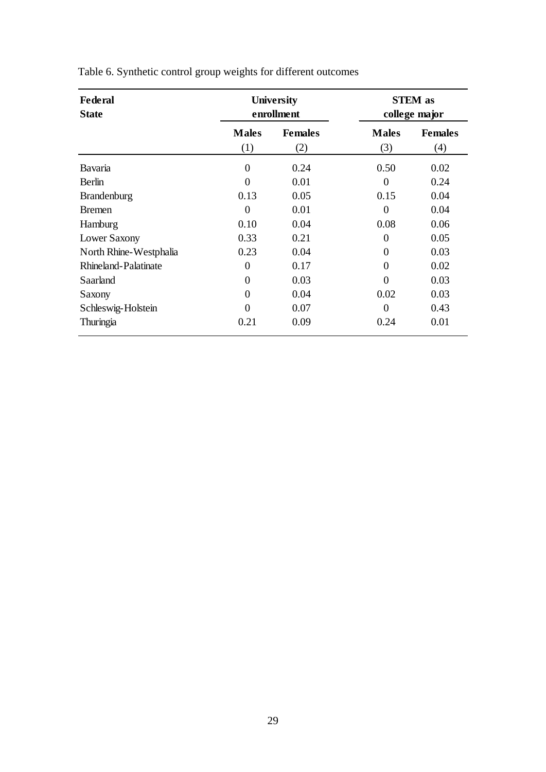| Federal<br><b>State</b> | <b>University</b><br>enrollment |                       | <b>STEM</b> as<br>college major |                       |
|-------------------------|---------------------------------|-----------------------|---------------------------------|-----------------------|
|                         | <b>Males</b><br>(1)             | <b>Females</b><br>(2) | <b>Males</b><br>(3)             | <b>Females</b><br>(4) |
| <b>Bavaria</b>          | $\boldsymbol{0}$                | 0.24                  | 0.50                            | 0.02                  |
| <b>Berlin</b>           | $\theta$                        | 0.01                  | $\Omega$                        | 0.24                  |
| Brandenburg             | 0.13                            | 0.05                  | 0.15                            | 0.04                  |
| <b>Bremen</b>           | $\theta$                        | 0.01                  | 0                               | 0.04                  |
| Hamburg                 | 0.10                            | 0.04                  | 0.08                            | 0.06                  |
| Lower Saxony            | 0.33                            | 0.21                  | $\theta$                        | 0.05                  |
| North Rhine-Westphalia  | 0.23                            | 0.04                  | $\Omega$                        | 0.03                  |
| Rhineland-Palatinate    | $\boldsymbol{0}$                | 0.17                  | 0                               | 0.02                  |
| Saarland                | $\boldsymbol{0}$                | 0.03                  | 0                               | 0.03                  |
| Saxony                  | $\theta$                        | 0.04                  | 0.02                            | 0.03                  |
| Schleswig-Holstein      | $\Omega$                        | 0.07                  | 0                               | 0.43                  |
| Thuringia               | 0.21                            | 0.09                  | 0.24                            | 0.01                  |

Table 6. Synthetic control group weights for different outcomes